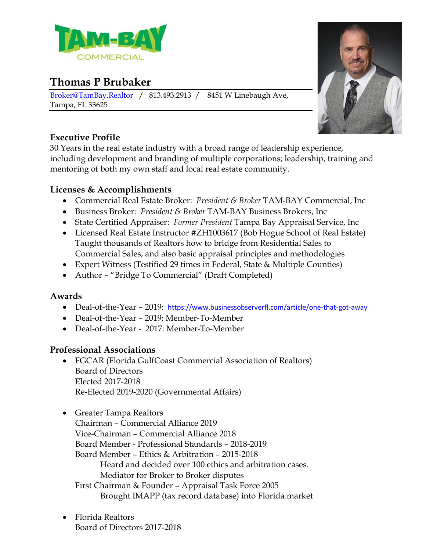

# **Thomas P Brubaker**

[Broker@TamBay.Realtor](mailto:Broker@TamBay.Realtor) / 813.493.2913 / 8451 W Linebaugh Ave, Tampa, FL 33625



## **Executive Profile**

30 Years in the real estate industry with a broad range of leadership experience, including development and branding of multiple corporations; leadership, training and mentoring of both my own staff and local real estate community.

## **Licenses & Accomplishments**

- Commercial Real Estate Broker: *President & Broker* TAM-BAY Commercial, Inc
- Business Broker: *President & Broker* TAM-BAY Business Brokers, Inc
- State Certified Appraiser: *Former President* Tampa Bay Appraisal Service, Inc
- Licensed Real Estate Instructor #ZH1003617 (Bob Hogue School of Real Estate) Taught thousands of Realtors how to bridge from Residential Sales to Commercial Sales, and also basic appraisal principles and methodologies
- Expert Witness (Testified 29 times in Federal, State & Multiple Counties)
- Author "Bridge To Commercial" (Draft Completed)

## **Awards**

- Deal-of-the-Year 2019: <https://www.businessobserverfl.com/article/one-that-got-away>
- Deal-of-the-Year 2019: Member-To-Member
- Deal-of-the-Year 2017: Member-To-Member

## **Professional Associations**

- FGCAR (Florida GulfCoast Commercial Association of Realtors) Board of Directors Elected 2017-2018 Re-Elected 2019-2020 (Governmental Affairs)
- Greater Tampa Realtors
	- Chairman Commercial Alliance 2019 Vice-Chairman – Commercial Alliance 2018 Board Member - Professional Standards – 2018-2019 Board Member – Ethics & Arbitration – 2015-2018 Heard and decided over 100 ethics and arbitration cases. Mediator for Broker to Broker disputes First Chairman & Founder – Appraisal Task Force 2005 Brought IMAPP (tax record database) into Florida market
- Florida Realtors Board of Directors 2017-2018